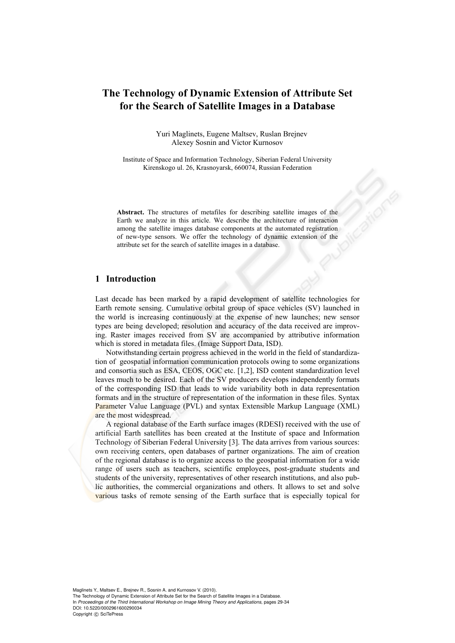# **The Technology of Dynamic Extension of Attribute Set for the Search of Satellite Images in a Database**

Yuri Maglinets, Eugene Maltsev, Ruslan Brejnev Alexey Sosnin and Victor Kurnosov

Institute of Space and Information Technology, Siberian Federal University Kirenskogo ul. 26, Krasnoyarsk, 660074, Russian Federation

**Abstract.** The structures of metafiles for describing satellite images of the Earth we analyze in this article. We describe the architecture of interaction among the satellite images database components at the automated registration of new-type sensors. We offer the technology of dynamic extension of the attribute set for the search of satellite images in a database.

#### **1 Introduction**

Last decade has been marked by a rapid development of satellite technologies for Earth remote sensing. Cumulative orbital group of space vehicles (SV) launched in the world is increasing continuously at the expense of new launches; new sensor types are being developed; resolution and accuracy of the data received are improving. Raster images received from SV are accompanied by attributive information which is stored in metadata files. (Image Support Data, ISD).

Notwithstanding certain progress achieved in the world in the field of standardization of geospatial information communication protocols owing to some organizations and consortia such as ESA, CEOS, OGC etc. [1,2], ISD content standardization level leaves much to be desired. Each of the SV producers develops independently formats of the corresponding ISD that leads to wide variability both in data representation formats and in the structure of representation of the information in these files. Syntax Parameter Value Language (PVL) and syntax Extensible Markup Language (XML) are the most widespread.

A regional database of the Earth surface images (RDESI) received with the use of artificial Earth satellites has been created at the Institute of space and Information Technology of Siberian Federal University [3]. The data arrives from various sources: own receiving centers, open databases of partner organizations. The aim of creation of the regional database is to organize access to the geospatial information for a wide range of users such as teachers, scientific employees, post-graduate students and students of the university, representatives of other research institutions, and also public authorities, the commercial organizations and others. It allows to set and solve various tasks of remote sensing of the Earth surface that is especially topical for

Maglinets Y., Maltsev E., Brejnev R., Sosnin A. and Kurnosov V. (2010). The Technology of Dynamic Extension of Attribute Set for the Search of Satellite Images in a Database. In *Proceedings of the Third International Workshop on Image Mining Theory and Applications*, pages 29-34 DOI: 10.5220/0002961600290034 Copyright © SciTePress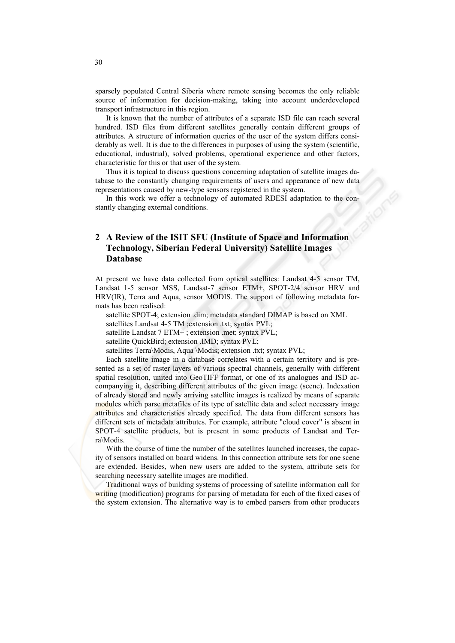sparsely populated Central Siberia where remote sensing becomes the only reliable source of information for decision-making, taking into account underdeveloped transport infrastructure in this region.

It is known that the number of attributes of a separate ISD file can reach several hundred. ISD files from different satellites generally contain different groups of attributes. A structure of information queries of the user of the system differs considerably as well. It is due to the differences in purposes of using the system (scientific, educational, industrial), solved problems, operational experience and other factors, characteristic for this or that user of the system.

Thus it is topical to discuss questions concerning adaptation of satellite images database to the constantly changing requirements of users and appearance of new data representations caused by new-type sensors registered in the system.

In this work we offer a technology of automated RDESI adaptation to the constantly changing external conditions.

## **2 A Review of the ISIT SFU (Institute of Space and Information Technology, Siberian Federal University) Satellite Images Database**

At present we have data collected from optical satellites: Landsat 4-5 sensor TM, Landsat 1-5 sensor MSS, Landsat-7 sensor ETM+, SPOT-2/4 sensor HRV and HRV(IR), Terra and Aqua, sensor MODIS. The support of following metadata formats has been realised:

satellite SPOT-4; extension .dim; metadata standard DIMAP is based on XML

satellites Landsat 4-5 TM ; extension .txt; syntax PVL;

satellite Landsat 7 ETM+ ; extension .met; syntax PVL;

satellite QuickBird; extension .IMD; syntax PVL;

satellites Terra\Modis, Aqua \Modis; extension .txt; syntax PVL;

Each satellite image in a database correlates with a certain territory and is presented as a set of raster layers of various spectral channels, generally with different spatial resolution, united into GeoTIFF format, or one of its analogues and ISD accompanying it, describing different attributes of the given image (scene). Indexation of already stored and newly arriving satellite images is realized by means of separate modules which parse metafiles of its type of satellite data and select necessary image attributes and characteristics already specified. The data from different sensors has different sets of metadata attributes. For example, attribute "cloud cover" is absent in SPOT-4 satellite products, but is present in some products of Landsat and Terra\Modis.

With the course of time the number of the satellites launched increases, the capacity of sensors installed on board widens. In this connection attribute sets for one scene are extended. Besides, when new users are added to the system, attribute sets for searching necessary satellite images are modified.

Traditional ways of building systems of processing of satellite information call for writing (modification) programs for parsing of metadata for each of the fixed cases of the system extension. The alternative way is to embed parsers from other producers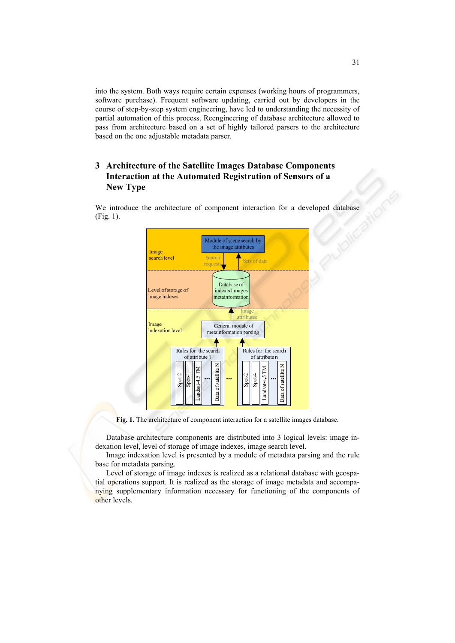into the system. Both ways require certain expenses (working hours of programmers, software purchase). Frequent software updating, carried out by developers in the course of step-by-step system engineering, have led to understanding the necessity of partial automation of this process. Reengineering of database architecture allowed to pass from architecture based on a set of highly tailored parsers to the architecture based on the one adjustable metadata parser.

## **3 Architecture of the Satellite Images Database Components Interaction at the Automated Registration of Sensors of a New Type**

We introduce the architecture of component interaction for a developed database (Fig. 1).



**Fig. 1.** The architecture of component interaction for a satellite images database.

Database architecture components are distributed into 3 logical levels: image indexation level, level of storage of image indexes, image search level.

Image indexation level is presented by a module of metadata parsing and the rule base for metadata parsing.

Level of storage of image indexes is realized as a relational database with geospatial operations support. It is realized as the storage of image metadata and accompanying supplementary information necessary for functioning of the components of other levels.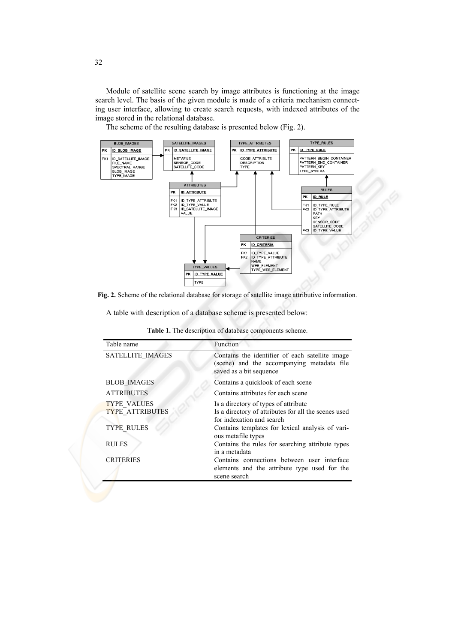Module of satellite scene search by image attributes is functioning at the image search level. The basis of the given module is made of a criteria mechanism connecting user interface, allowing to create search requests, with indexed attributes of the image stored in the relational database.

The scheme of the resulting database is presented below (Fig. 2).



**Fig. 2.** Scheme of the relational database for storage of satellite image attributive information.

A table with description of a database scheme is presented below:

| <b>Table 1.</b> The description of database components scheme. |  |  |  |  |
|----------------------------------------------------------------|--|--|--|--|
|----------------------------------------------------------------|--|--|--|--|

| Table name                                   | Function                                                                                                                  |  |  |
|----------------------------------------------|---------------------------------------------------------------------------------------------------------------------------|--|--|
| <b>SATELLITE IMAGES</b>                      | Contains the identifier of each satellite image<br>(scene) and the accompanying metadata file<br>saved as a bit sequence  |  |  |
| <b>BLOB IMAGES</b>                           | Contains a quicklook of each scene                                                                                        |  |  |
| <b>ATTRIBUTES</b>                            | Contains attributes for each scene                                                                                        |  |  |
| <b>TYPE VALUES</b><br><b>TYPE ATTRIBUTES</b> | Is a directory of types of attribute<br>Is a directory of attributes for all the scenes used<br>for indexation and search |  |  |
| <b>TYPE RULES</b>                            | Contains templates for lexical analysis of vari-<br>ous metafile types                                                    |  |  |
| <b>RULES</b>                                 | Contains the rules for searching attribute types<br>in a metadata                                                         |  |  |
| <b>CRITERIES</b>                             | Contains connections between user interface<br>elements and the attribute type used for the<br>scene search               |  |  |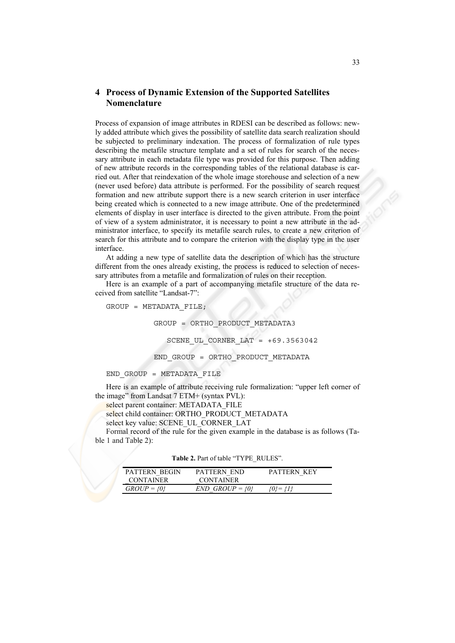## **4 Process of Dynamic Extension of the Supported Satellites Nomenclature**

Process of expansion of image attributes in RDESI can be described as follows: newly added attribute which gives the possibility of satellite data search realization should be subjected to preliminary indexation. The process of formalization of rule types describing the metafile structure template and a set of rules for search of the necessary attribute in each metadata file type was provided for this purpose. Then adding of new attribute records in the corresponding tables of the relational database is carried out. After that reindexation of the whole image storehouse and selection of a new (never used before) data attribute is performed. For the possibility of search request formation and new attribute support there is a new search criterion in user interface being created which is connected to a new image attribute. One of the predetermined elements of display in user interface is directed to the given attribute. From the point of view of a system administrator, it is necessary to point a new attribute in the administrator interface, to specify its metafile search rules, to create a new criterion of search for this attribute and to compare the criterion with the display type in the user interface.

At adding a new type of satellite data the description of which has the structure different from the ones already existing, the process is reduced to selection of necessary attributes from a metafile and formalization of rules on their reception.

Here is an example of a part of accompanying metafile structure of the data received from satellite "Landsat-7":

 $GROUP = METADATA FILE;$  GROUP = ORTHO\_PRODUCT\_METADATA3 SCENE UL CORNER LAT =  $+69.3563042$ END\_GROUP = ORTHO\_PRODUCT\_METADATA

END\_GROUP = METADATA\_FILE

Here is an example of attribute receiving rule formalization: "upper left corner of the image" from Landsat 7 ETM+ (syntax PVL):

select parent container: METADATA\_FILE

select child container: ORTHO\_PRODUCT\_METADATA

select key value: SCENE\_UL\_CORNER\_LAT

Formal record of the rule for the given example in the database is as follows (Table 1 and Table 2):

|  |  | <b>Table 2.</b> Part of table "TYPE RULES". |
|--|--|---------------------------------------------|
|  |  |                                             |

| PATTERN BEGIN<br><b>CONTAINER</b> | PATTERN END<br><b>CONTAINER</b> | PATTERN KEY |
|-----------------------------------|---------------------------------|-------------|
| $GROUP = \{0\}$                   | $END$ GROUP = {0}               | {0}= {1}    |